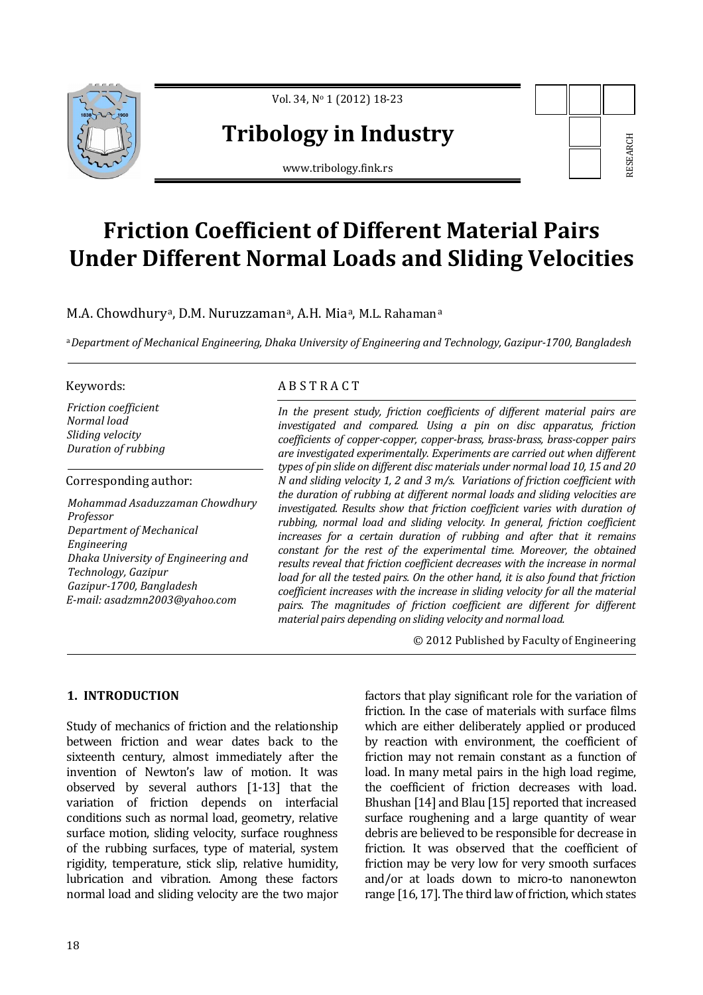

Vol. 34, No 1 (2012) 18-23

# **Tribology in Industry**

www.tribology.fink.rs

# **Friction Coefficient of Different Material Pairs Under Different Normal Loads and Sliding Velocities**

M.A. Chowdhury<sup>a</sup>, D.M. Nuruzzaman<sup>a</sup>, A.H. Mia<sup>a</sup>, M.L. Rahaman<sup>a</sup>

<sup>a</sup>*Department of Mechanical Engineering, Dhaka University of Engineering and Technology, Gazipur-1700, Bangladesh*

*Friction coefficient Normal load Sliding velocity Duration of rubbing* 

#### Corresponding author:

*Mohammad Asaduzzaman Chowdhury Professor Department of Mechanical Engineering Dhaka University of Engineering and Technology, Gazipur Gazipur-1700, Bangladesh E-mail: asadzmn2003@yahoo.com* 

# Keywords: A B S T R A C T

*In the present study, friction coefficients of different material pairs are investigated and compared. Using a pin on disc apparatus, friction coefficients of copper-copper, copper-brass, brass-brass, brass-copper pairs are investigated experimentally. Experiments are carried out when different types of pin slide on different disc materials under normal load 10, 15 and 20 N and sliding velocity 1, 2 and 3 m/s. Variations of friction coefficient with the duration of rubbing at different normal loads and sliding velocities are investigated. Results show that friction coefficient varies with duration of rubbing, normal load and sliding velocity. In general, friction coefficient increases for a certain duration of rubbing and after that it remains constant for the rest of the experimental time. Moreover, the obtained results reveal that friction coefficient decreases with the increase in normal load for all the tested pairs. On the other hand, it is also found that friction coefficient increases with the increase in sliding velocity for all the material pairs. The magnitudes of friction coefficient are different for different material pairs depending on sliding velocity and normal load.* **Example 11: Example 11:** The same of the state of the control of the coefficient of friction, which states range [16, 17]. The third law of friction and particular coefficients of different material pairs are compared.

© 2012 Published by Faculty of Engineering

## **1. INTRODUCTION**

Study of mechanics of friction and the relationship between friction and wear dates back to the sixteenth century, almost immediately after the invention of Newton's law of motion. It was observed by several authors [1-13] that the variation of friction depends on interfacial conditions such as normal load, geometry, relative surface motion, sliding velocity, surface roughness of the rubbing surfaces, type of material, system rigidity, temperature, stick slip, relative humidity, lubrication and vibration. Among these factors normal load and sliding velocity are the two major

factors that play significant role for the variation of friction. In the case of materials with surface films which are either deliberately applied or produced by reaction with environment, the coefficient of friction may not remain constant as a function of load. In many metal pairs in the high load regime, the coefficient of friction decreases with load. Bhushan [14] and Blau [15] reported that increased surface roughening and a large quantity of wear debris are believed to be responsible for decrease in friction. It was observed that the coefficient of friction may be very low for very smooth surfaces and/or at loads down to micro-to nanonewton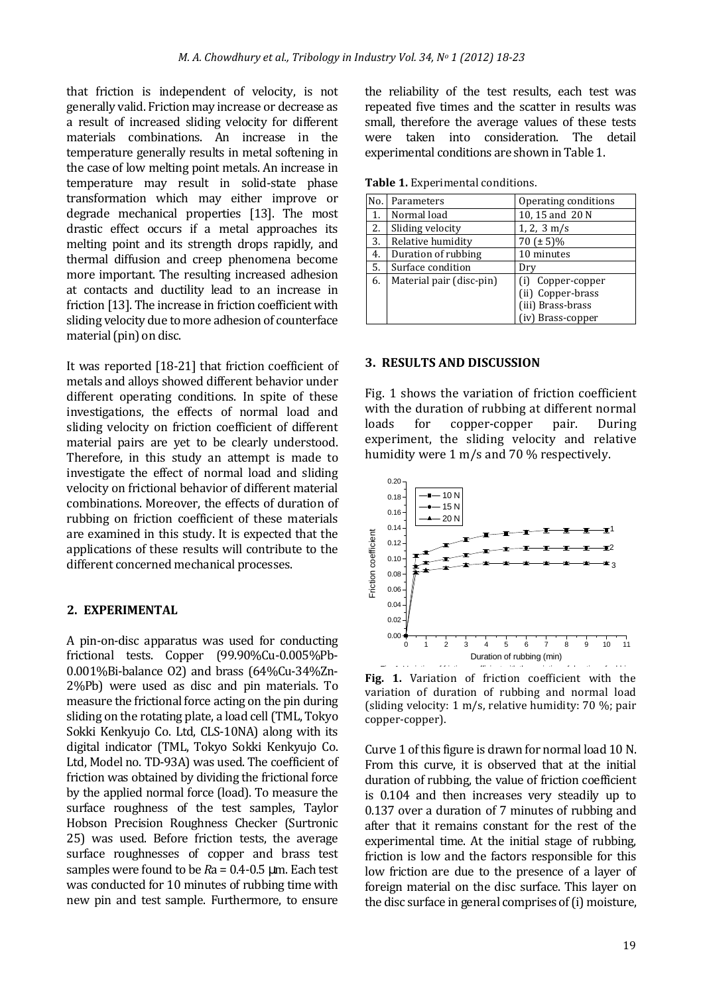that friction is independent of velocity, is not generally valid. Friction may increase or decrease as a result of increased sliding velocity for different materials combinations. An increase in the temperature generally results in metal softening in the case of low melting point metals. An increase in temperature may result in solid-state phase transformation which may either improve or degrade mechanical properties [13]. The most drastic effect occurs if a metal approaches its melting point and its strength drops rapidly, and thermal diffusion and creep phenomena become more important. The resulting increased adhesion at contacts and ductility lead to an increase in friction [13]. The increase in friction coefficient with sliding velocity due to more adhesion of counterface material (pin) on disc.

It was reported [18-21] that friction coefficient of metals and alloys showed different behavior under different operating conditions. In spite of these investigations, the effects of normal load and sliding velocity on friction coefficient of different material pairs are yet to be clearly understood. Therefore, in this study an attempt is made to investigate the effect of normal load and sliding velocity on frictional behavior of different material combinations. Moreover, the effects of duration of rubbing on friction coefficient of these materials are examined in this study. It is expected that the applications of these results will contribute to the different concerned mechanical processes.

### **2. EXPERIMENTAL**

A pin-on-disc apparatus was used for conducting frictional tests. Copper (99.90%Cu-0.005%Pb-0.001%Bi-balance O2) and brass (64%Cu-34%Zn-2%Pb) were used as disc and pin materials. To measure the frictional force acting on the pin during sliding on the rotating plate, a load cell (TML, Tokyo Sokki Kenkyujo Co. Ltd, CLS-10NA) along with its digital indicator (TML, Tokyo Sokki Kenkyujo Co. Ltd, Model no. TD-93A) was used. The coefficient of friction was obtained by dividing the frictional force by the applied normal force (load). To measure the surface roughness of the test samples, Taylor Hobson Precision Roughness Checker (Surtronic 25) was used. Before friction tests, the average surface roughnesses of copper and brass test samples were found to be *R*a = 0.4-0.5 µm. Each test was conducted for 10 minutes of rubbing time with new pin and test sample. Furthermore, to ensure

the reliability of the test results, each test was repeated five times and the scatter in results was small, therefore the average values of these tests were taken into consideration. The detail experimental conditions are shown in Table 1.

| No. | Parameters               | Operating conditions                                                         |
|-----|--------------------------|------------------------------------------------------------------------------|
| 1.  | Normal load              | 10, 15 and 20 N                                                              |
| 2.  | Sliding velocity         | $1, 2, 3 \text{ m/s}$                                                        |
| 3.  | Relative humidity        | $70 (\pm 5)\%$                                                               |
| 4.  | Duration of rubbing      | 10 minutes                                                                   |
| 5.  | Surface condition        | Dry                                                                          |
| 6.  | Material pair (disc-pin) | Copper-copper<br>(ii) Copper-brass<br>(iii) Brass-brass<br>(iv) Brass-copper |

**Table 1.** Experimental conditions.

#### **3. RESULTS AND DISCUSSION**

Fig. 1 shows the variation of friction coefficient with the duration of rubbing at different normal loads for copper-copper pair. During experiment, the sliding velocity and relative humidity were 1 m/s and 70 % respectively.



Fig. 1. Variation of friction coefficient with the variation of duration of rubbing and normal load (sliding velocity: 1 m/s, relative humidity: 70 %; pair copper-copper).

Curve 1 of this figure is drawn for normal load 10 N. From this curve, it is observed that at the initial duration of rubbing, the value of friction coefficient is 0.104 and then increases very steadily up to 0.137 over a duration of 7 minutes of rubbing and after that it remains constant for the rest of the experimental time. At the initial stage of rubbing, friction is low and the factors responsible for this low friction are due to the presence of a layer of foreign material on the disc surface. This layer on the disc surface in general comprises of (i) moisture,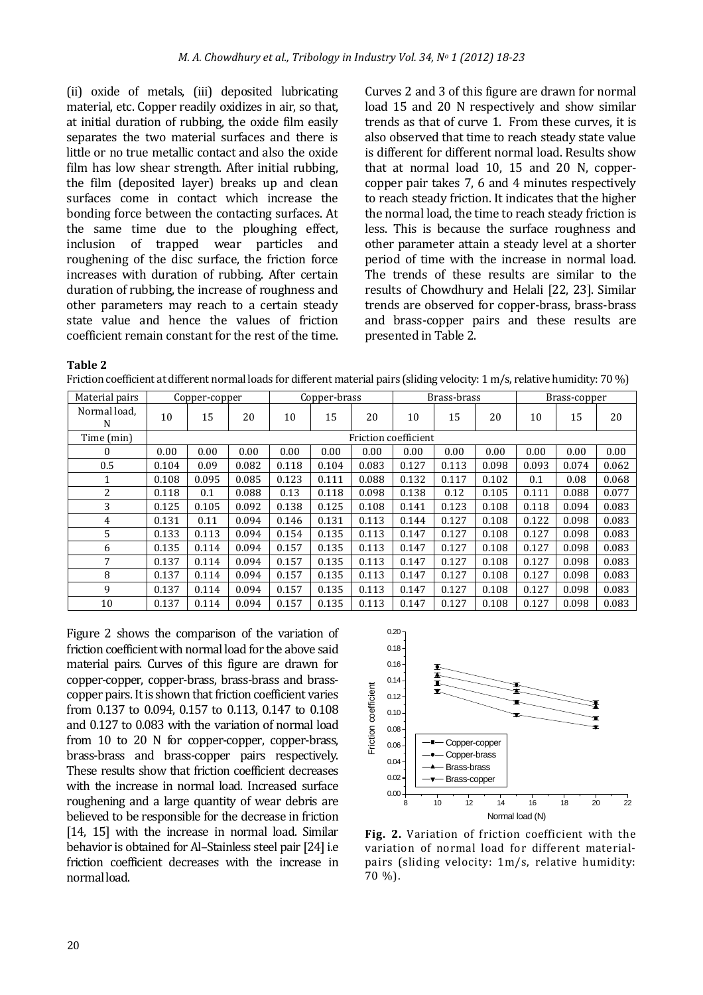(ii) oxide of metals, (iii) deposited lubricating material, etc. Copper readily oxidizes in air, so that, at initial duration of rubbing, the oxide film easily separates the two material surfaces and there is little or no true metallic contact and also the oxide film has low shear strength. After initial rubbing, the film (deposited layer) breaks up and clean surfaces come in contact which increase the bonding force between the contacting surfaces. At the same time due to the ploughing effect, inclusion of trapped wear particles and roughening of the disc surface, the friction force increases with duration of rubbing. After certain duration of rubbing, the increase of roughness and other parameters may reach to a certain steady state value and hence the values of friction coefficient remain constant for the rest of the time.

Curves 2 and 3 of this figure are drawn for normal load 15 and 20 N respectively and show similar trends as that of curve 1. From these curves, it is also observed that time to reach steady state value is different for different normal load. Results show that at normal load 10, 15 and 20 N, coppercopper pair takes 7, 6 and 4 minutes respectively to reach steady friction. It indicates that the higher the normal load, the time to reach steady friction is less. This is because the surface roughness and other parameter attain a steady level at a shorter period of time with the increase in normal load. The trends of these results are similar to the results of Chowdhury and Helali [22, 23]. Similar trends are observed for copper-brass, brass-brass and brass-copper pairs and these results are presented in Table 2.

**Table 2** 

Friction coefficient at different normal loads for different material pairs (sliding velocity: 1 m/s, relative humidity: 70 %)

| Material pairs    | Copper-copper        |       |       | Copper-brass |       |       | Brass-brass |       |       | Brass-copper |       |       |
|-------------------|----------------------|-------|-------|--------------|-------|-------|-------------|-------|-------|--------------|-------|-------|
| Normal load,<br>N | 10                   | 15    | 20    | 10           | 15    | 20    | 10          | 15    | 20    | 10           | 15    | 20    |
| Time (min)        | Friction coefficient |       |       |              |       |       |             |       |       |              |       |       |
| $\Omega$          | 0.00                 | 0.00  | 0.00  | 0.00         | 0.00  | 0.00  | 0.00        | 0.00  | 0.00  | 0.00         | 0.00  | 0.00  |
| 0.5               | 0.104                | 0.09  | 0.082 | 0.118        | 0.104 | 0.083 | 0.127       | 0.113 | 0.098 | 0.093        | 0.074 | 0.062 |
| 1                 | 0.108                | 0.095 | 0.085 | 0.123        | 0.111 | 0.088 | 0.132       | 0.117 | 0.102 | 0.1          | 0.08  | 0.068 |
| 2                 | 0.118                | 0.1   | 0.088 | 0.13         | 0.118 | 0.098 | 0.138       | 0.12  | 0.105 | 0.111        | 0.088 | 0.077 |
| 3                 | 0.125                | 0.105 | 0.092 | 0.138        | 0.125 | 0.108 | 0.141       | 0.123 | 0.108 | 0.118        | 0.094 | 0.083 |
| 4                 | 0.131                | 0.11  | 0.094 | 0.146        | 0.131 | 0.113 | 0.144       | 0.127 | 0.108 | 0.122        | 0.098 | 0.083 |
| 5                 | 0.133                | 0.113 | 0.094 | 0.154        | 0.135 | 0.113 | 0.147       | 0.127 | 0.108 | 0.127        | 0.098 | 0.083 |
| 6                 | 0.135                | 0.114 | 0.094 | 0.157        | 0.135 | 0.113 | 0.147       | 0.127 | 0.108 | 0.127        | 0.098 | 0.083 |
| 7                 | 0.137                | 0.114 | 0.094 | 0.157        | 0.135 | 0.113 | 0.147       | 0.127 | 0.108 | 0.127        | 0.098 | 0.083 |
| 8                 | 0.137                | 0.114 | 0.094 | 0.157        | 0.135 | 0.113 | 0.147       | 0.127 | 0.108 | 0.127        | 0.098 | 0.083 |
| 9                 | 0.137                | 0.114 | 0.094 | 0.157        | 0.135 | 0.113 | 0.147       | 0.127 | 0.108 | 0.127        | 0.098 | 0.083 |
| 10                | 0.137                | 0.114 | 0.094 | 0.157        | 0.135 | 0.113 | 0.147       | 0.127 | 0.108 | 0.127        | 0.098 | 0.083 |

Figure 2 shows the comparison of the variation of friction coefficient with normal load for the above said material pairs. Curves of this figure are drawn for copper-copper, copper-brass, brass-brass and brasscopper pairs. It is shown that friction coefficient varies from 0.137 to 0.094, 0.157 to 0.113, 0.147 to 0.108 and 0.127 to 0.083 with the variation of normal load from 10 to 20 N for copper-copper, copper-brass, brass-brass and brass-copper pairs respectively. These results show that friction coefficient decreases with the increase in normal load. Increased surface roughening and a large quantity of wear debris are believed to be responsible for the decrease in friction [14, 15] with the increase in normal load. Similar behavior is obtained for Al–Stainless steel pair [24] i.e friction coefficient decreases with the increase in normal load.



**Fig. 2.** Variation of friction coefficient with the variation of normal load for different materialpairs (sliding velocity: 1m/s, relative humidity: 70 %).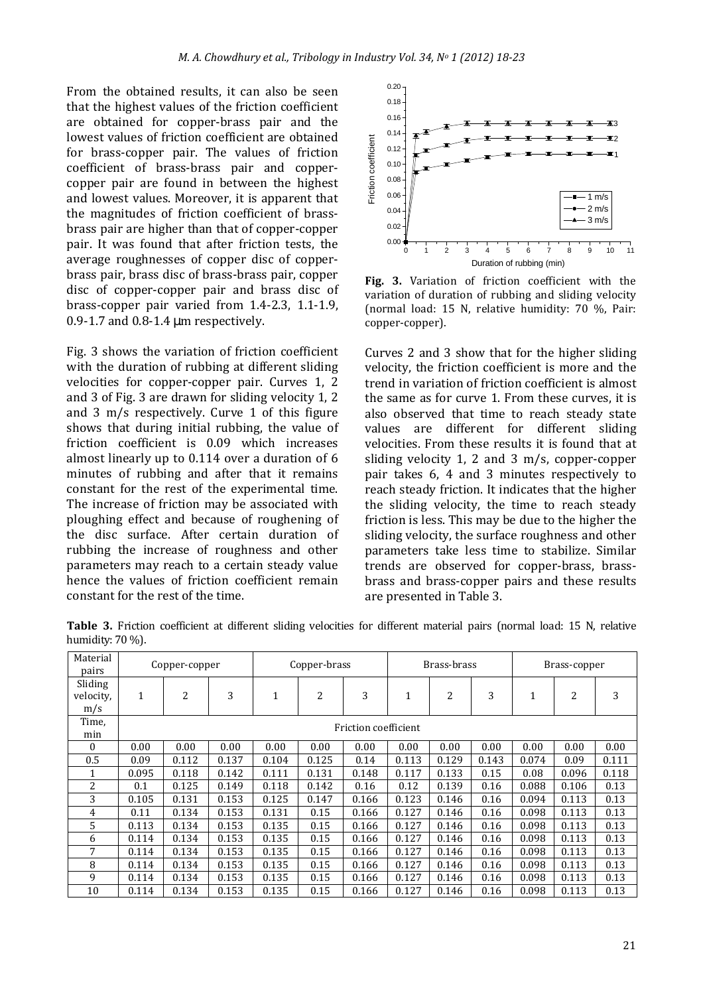From the obtained results, it can also be seen that the highest values of the friction coefficient are obtained for copper-brass pair and the lowest values of friction coefficient are obtained for brass-copper pair. The values of friction coefficient of brass-brass pair and coppercopper pair are found in between the highest and lowest values. Moreover, it is apparent that the magnitudes of friction coefficient of brassbrass pair are higher than that of copper-copper pair. It was found that after friction tests, the average roughnesses of copper disc of copperbrass pair, brass disc of brass-brass pair, copper disc of copper-copper pair and brass disc of brass-copper pair varied from 1.4-2.3, 1.1-1.9, 0.9-1.7 and 0.8-1.4 µm respectively.

Fig. 3 shows the variation of friction coefficient with the duration of rubbing at different sliding velocities for copper-copper pair. Curves 1, 2 and 3 of Fig. 3 are drawn for sliding velocity 1, 2 and 3 m/s respectively. Curve 1 of this figure shows that during initial rubbing, the value of friction coefficient is 0.09 which increases almost linearly up to 0.114 over a duration of 6 minutes of rubbing and after that it remains constant for the rest of the experimental time. The increase of friction may be associated with ploughing effect and because of roughening of the disc surface. After certain duration of rubbing the increase of roughness and other parameters may reach to a certain steady value hence the values of friction coefficient remain constant for the rest of the time.



**Fig. 3.** Variation of friction coefficient with the variation of duration of rubbing and sliding velocity (normal load: 15 N, relative humidity: 70 %, Pair: copper-copper).

Curves 2 and 3 show that for the higher sliding velocity, the friction coefficient is more and the trend in variation of friction coefficient is almost the same as for curve 1. From these curves, it is also observed that time to reach steady state values are different for different sliding velocities. From these results it is found that at sliding velocity 1, 2 and 3 m/s, copper-copper pair takes 6, 4 and 3 minutes respectively to reach steady friction. It indicates that the higher the sliding velocity, the time to reach steady friction is less. This may be due to the higher the sliding velocity, the surface roughness and other parameters take less time to stabilize. Similar trends are observed for copper-brass, brassbrass and brass-copper pairs and these results are presented in Table 3.

**Table 3.** Friction coefficient at different sliding velocities for different material pairs (normal load: 15 N, relative humidity: 70 %). Material

| Material<br>pairs           | Copper-copper        |       |       | Copper-brass |       |       | Brass-brass |       |       | Brass-copper |       |       |
|-----------------------------|----------------------|-------|-------|--------------|-------|-------|-------------|-------|-------|--------------|-------|-------|
| Sliding<br>velocity,<br>m/s | $\mathbf{1}$         | 2     | 3     | $\mathbf{1}$ | 2     | 3     | 1           | 2     | 3     | 1            | 2     | 3     |
| Time,<br>min                | Friction coefficient |       |       |              |       |       |             |       |       |              |       |       |
| $\Omega$                    | 0.00                 | 0.00  | 0.00  | 0.00         | 0.00  | 0.00  | 0.00        | 0.00  | 0.00  | 0.00         | 0.00  | 0.00  |
| 0.5                         | 0.09                 | 0.112 | 0.137 | 0.104        | 0.125 | 0.14  | 0.113       | 0.129 | 0.143 | 0.074        | 0.09  | 0.111 |
|                             | 0.095                | 0.118 | 0.142 | 0.111        | 0.131 | 0.148 | 0.117       | 0.133 | 0.15  | 0.08         | 0.096 | 0.118 |
| 2                           | 0.1                  | 0.125 | 0.149 | 0.118        | 0.142 | 0.16  | 0.12        | 0.139 | 0.16  | 0.088        | 0.106 | 0.13  |
| 3                           | 0.105                | 0.131 | 0.153 | 0.125        | 0.147 | 0.166 | 0.123       | 0.146 | 0.16  | 0.094        | 0.113 | 0.13  |
| 4                           | 0.11                 | 0.134 | 0.153 | 0.131        | 0.15  | 0.166 | 0.127       | 0.146 | 0.16  | 0.098        | 0.113 | 0.13  |
| 5                           | 0.113                | 0.134 | 0.153 | 0.135        | 0.15  | 0.166 | 0.127       | 0.146 | 0.16  | 0.098        | 0.113 | 0.13  |
| 6                           | 0.114                | 0.134 | 0.153 | 0.135        | 0.15  | 0.166 | 0.127       | 0.146 | 0.16  | 0.098        | 0.113 | 0.13  |
| 7                           | 0.114                | 0.134 | 0.153 | 0.135        | 0.15  | 0.166 | 0.127       | 0.146 | 0.16  | 0.098        | 0.113 | 0.13  |
| 8                           | 0.114                | 0.134 | 0.153 | 0.135        | 0.15  | 0.166 | 0.127       | 0.146 | 0.16  | 0.098        | 0.113 | 0.13  |
| 9                           | 0.114                | 0.134 | 0.153 | 0.135        | 0.15  | 0.166 | 0.127       | 0.146 | 0.16  | 0.098        | 0.113 | 0.13  |
| 10                          | 0.114                | 0.134 | 0.153 | 0.135        | 0.15  | 0.166 | 0.127       | 0.146 | 0.16  | 0.098        | 0.113 | 0.13  |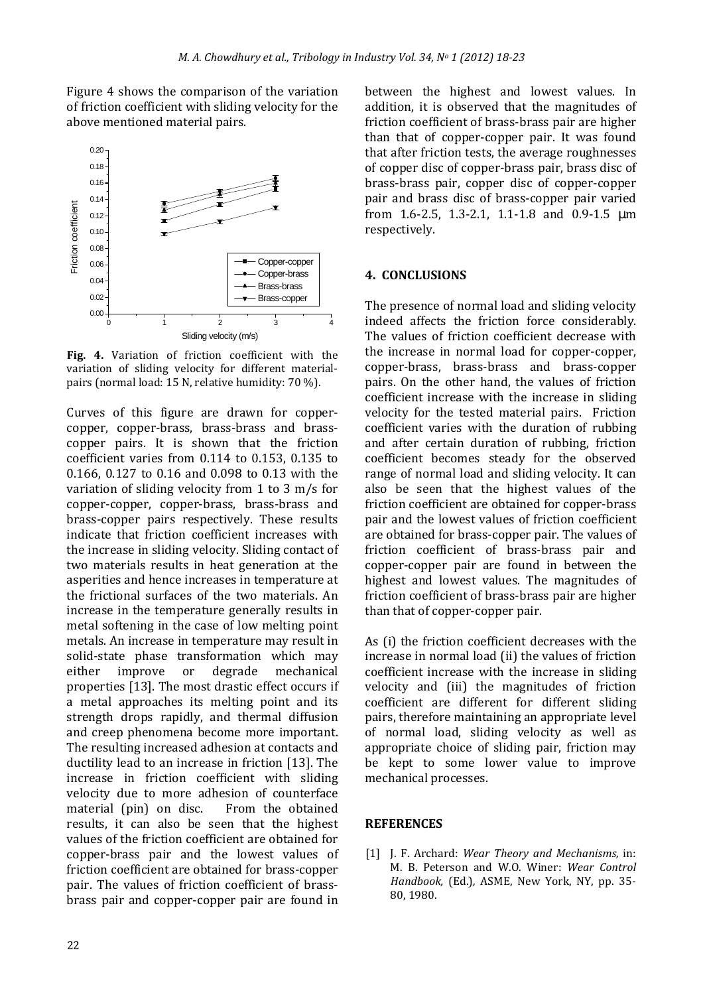Figure 4 shows the comparison of the variation of friction coefficient with sliding velocity for the above mentioned material pairs.



**Fig. 4.** Variation of friction coefficient with the variation of sliding velocity for different materialpairs (normal load: 15 N, relative humidity: 70 %).

Curves of this figure are drawn for coppercopper, copper-brass, brass-brass and brasscopper pairs. It is shown that the friction coefficient varies from 0.114 to 0.153, 0.135 to 0.166, 0.127 to 0.16 and 0.098 to 0.13 with the variation of sliding velocity from 1 to 3 m/s for copper-copper, copper-brass, brass-brass and brass-copper pairs respectively. These results indicate that friction coefficient increases with the increase in sliding velocity. Sliding contact of two materials results in heat generation at the asperities and hence increases in temperature at the frictional surfaces of the two materials. An increase in the temperature generally results in metal softening in the case of low melting point metals. An increase in temperature may result in solid-state phase transformation which may either improve or degrade mechanical properties [13]. The most drastic effect occurs if a metal approaches its melting point and its strength drops rapidly, and thermal diffusion and creep phenomena become more important. The resulting increased adhesion at contacts and ductility lead to an increase in friction [13]. The increase in friction coefficient with sliding velocity due to more adhesion of counterface material (pin) on disc. From the obtained results, it can also be seen that the highest values of the friction coefficient are obtained for copper-brass pair and the lowest values of friction coefficient are obtained for brass-copper pair. The values of friction coefficient of brassbrass pair and copper-copper pair are found in

between the highest and lowest values. In addition, it is observed that the magnitudes of friction coefficient of brass-brass pair are higher than that of copper-copper pair. It was found that after friction tests, the average roughnesses of copper disc of copper-brass pair, brass disc of brass-brass pair, copper disc of copper-copper pair and brass disc of brass-copper pair varied from 1.6-2.5, 1.3-2.1, 1.1-1.8 and 0.9-1.5 µm respectively.

## **4. CONCLUSIONS**

The presence of normal load and sliding velocity indeed affects the friction force considerably. The values of friction coefficient decrease with the increase in normal load for copper-copper, copper-brass, brass-brass and brass-copper pairs. On the other hand, the values of friction coefficient increase with the increase in sliding velocity for the tested material pairs. Friction coefficient varies with the duration of rubbing and after certain duration of rubbing, friction coefficient becomes steady for the observed range of normal load and sliding velocity. It can also be seen that the highest values of the friction coefficient are obtained for copper-brass pair and the lowest values of friction coefficient are obtained for brass-copper pair. The values of friction coefficient of brass-brass pair and copper-copper pair are found in between the highest and lowest values. The magnitudes of friction coefficient of brass-brass pair are higher than that of copper-copper pair.

As (i) the friction coefficient decreases with the increase in normal load (ii) the values of friction coefficient increase with the increase in sliding velocity and (iii) the magnitudes of friction coefficient are different for different sliding pairs, therefore maintaining an appropriate level of normal load, sliding velocity as well as appropriate choice of sliding pair, friction may be kept to some lower value to improve mechanical processes.

## **REFERENCES**

[1] J. F. Archard: *Wear Theory and Mechanisms,* in: M. B. Peterson and W.O. Winer: *Wear Control Handbook,* (Ed.)*,* ASME, New York, NY, pp. 35- 80, 1980.